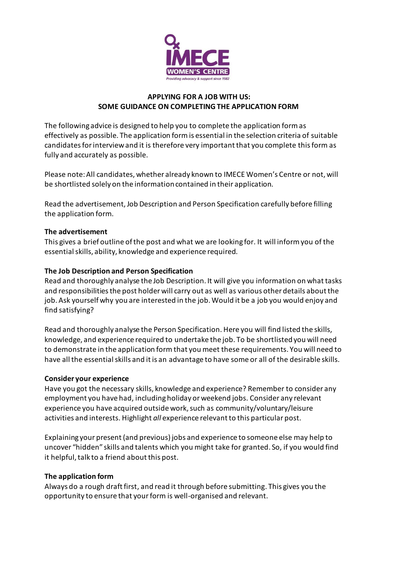

### **APPLYING FOR A JOB WITH US: SOME GUIDANCE ON COMPLETING THE APPLICATION FORM**

The following advice is designed to help you to complete the application form as effectively as possible. The application form is essential in the selection criteria of suitable candidates for interview and it is therefore very important that you complete this form as fully and accurately as possible.

Please note: All candidates, whether already known to IMECE Women's Centre or not, will be shortlisted solely on the information contained in their application.

Read the advertisement, Job Description and Person Specification carefully before filling the application form.

## **The advertisement**

This gives a brief outline of the post and what we are looking for. It will inform you of the essential skills, ability, knowledge and experience required.

## **The Job Description and Person Specification**

Read and thoroughly analyse the Job Description. It will give you information on what tasks and responsibilities the post holder will carry out as well as various other details about the job. Ask yourself why you are interested in the job. Would it be a job you would enjoy and find satisfying?

Read and thoroughly analyse the Person Specification. Here you will find listed the skills, knowledge, and experience required to undertake the job. To be shortlisted you will need to demonstrate in the application form that you meet these requirements. You will need to have all the essential skills and it is an advantage to have some or all of the desirable skills.

## **Consider your experience**

Have you got the necessary skills, knowledge and experience? Remember to consider any employment you have had, including holiday or weekend jobs. Consider any relevant experience you have acquired outside work, such as community/voluntary/leisure activities and interests. Highlight *all* experience relevant to this particular post.

Explaining your present (and previous) jobs and experience to someone else may help to uncover "hidden" skills and talents which you might take for granted. So, if you would find it helpful, talk to a friend about this post.

## **The application form**

Always do a rough draft first, and read it through before submitting. This gives you the opportunity to ensure that your form is well-organised and relevant.